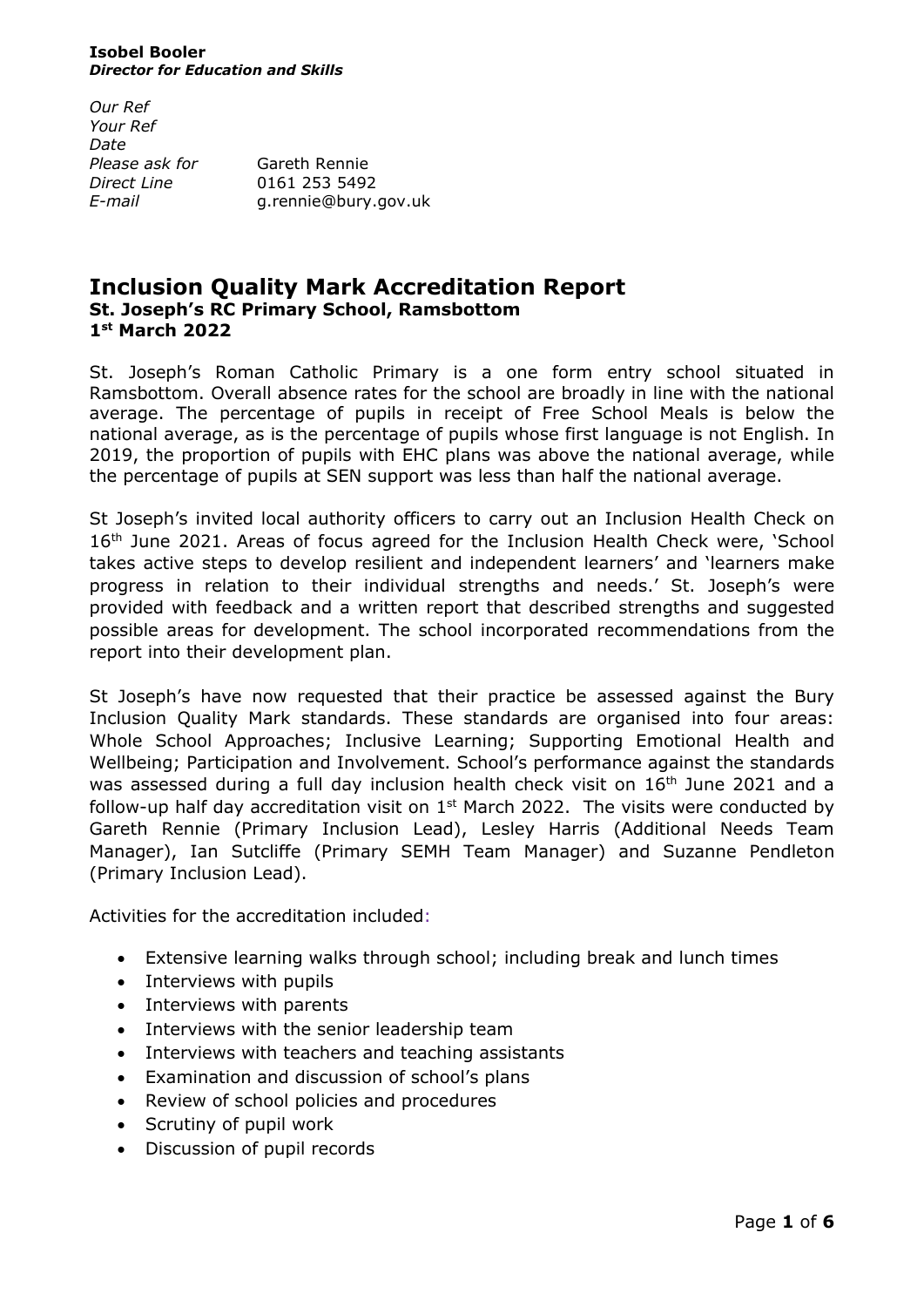#### **Isobel Booler** *Director for Education and Skills*

*Our Ref Your Ref Date Please ask for* Gareth Rennie *Direct Line* 0161 253 5492

*E-mail* g.rennie@bury.gov.uk

# **Inclusion Quality Mark Accreditation Report St. Joseph's RC Primary School, Ramsbottom 1 st March 2022**

St. Joseph's Roman Catholic Primary is a one form entry school situated in Ramsbottom. Overall absence rates for the school are broadly in line with the national average. The percentage of pupils in receipt of Free School Meals is below the national average, as is the percentage of pupils whose first language is not English. In 2019, the proportion of pupils with EHC plans was above the national average, while the percentage of pupils at SEN support was less than half the national average.

St Joseph's invited local authority officers to carry out an Inclusion Health Check on  $16<sup>th</sup>$  June 2021. Areas of focus agreed for the Inclusion Health Check were, 'School takes active steps to develop resilient and independent learners' and 'learners make progress in relation to their individual strengths and needs.' St. Joseph's were provided with feedback and a written report that described strengths and suggested possible areas for development. The school incorporated recommendations from the report into their development plan.

St Joseph's have now requested that their practice be assessed against the Bury Inclusion Quality Mark standards. These standards are organised into four areas: Whole School Approaches; Inclusive Learning; Supporting Emotional Health and Wellbeing; Participation and Involvement. School's performance against the standards was assessed during a full day inclusion health check visit on 16<sup>th</sup> June 2021 and a follow-up half day accreditation visit on  $1<sup>st</sup>$  March 2022. The visits were conducted by Gareth Rennie (Primary Inclusion Lead), Lesley Harris (Additional Needs Team Manager), Ian Sutcliffe (Primary SEMH Team Manager) and Suzanne Pendleton (Primary Inclusion Lead).

Activities for the accreditation included:

- Extensive learning walks through school; including break and lunch times
- Interviews with pupils
- Interviews with parents
- Interviews with the senior leadership team
- Interviews with teachers and teaching assistants
- Examination and discussion of school's plans
- Review of school policies and procedures
- Scrutiny of pupil work
- Discussion of pupil records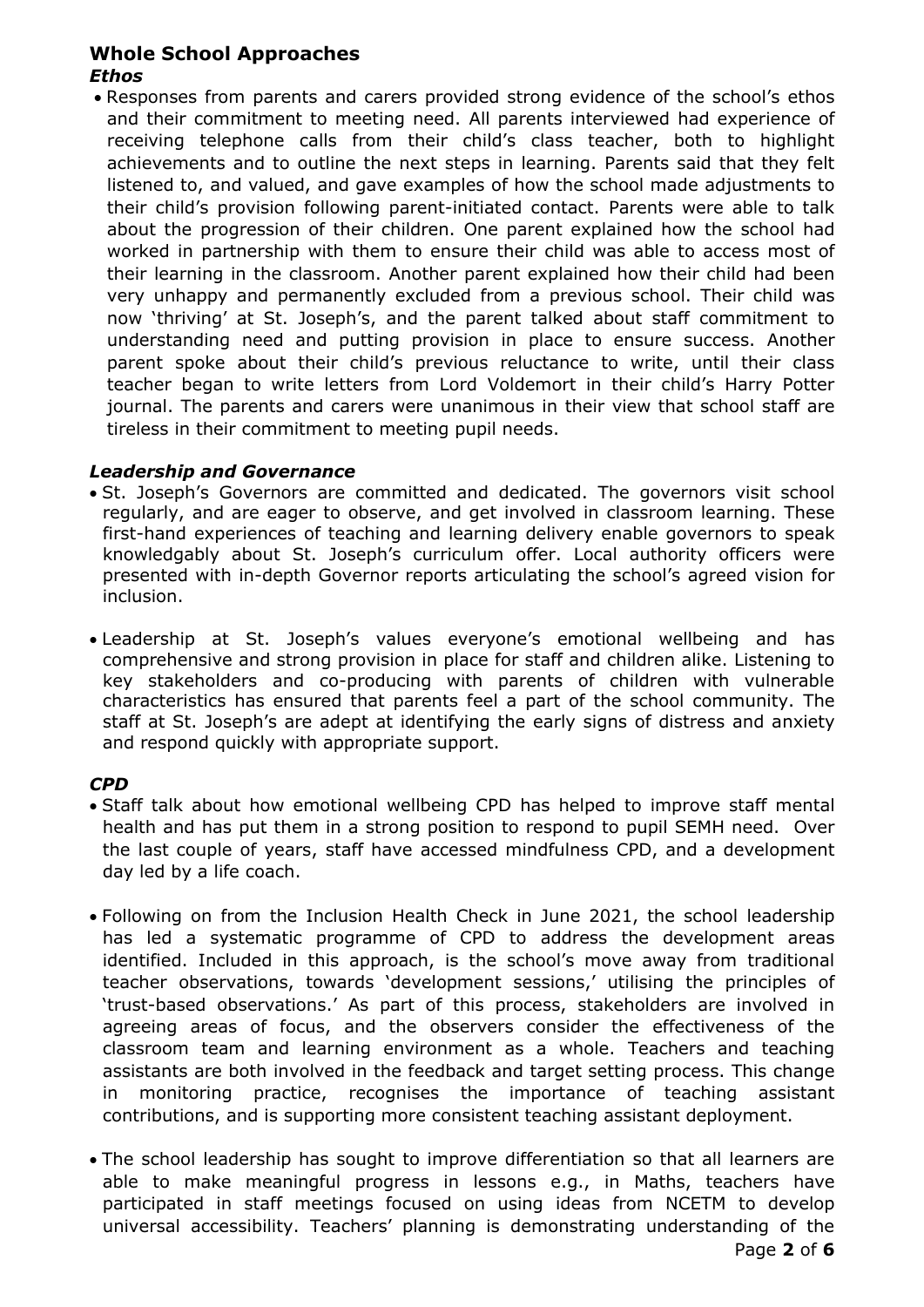# **Whole School Approaches** *Ethos*

• Responses from parents and carers provided strong evidence of the school's ethos and their commitment to meeting need. All parents interviewed had experience of receiving telephone calls from their child's class teacher, both to highlight achievements and to outline the next steps in learning. Parents said that they felt listened to, and valued, and gave examples of how the school made adjustments to their child's provision following parent-initiated contact. Parents were able to talk about the progression of their children. One parent explained how the school had worked in partnership with them to ensure their child was able to access most of their learning in the classroom. Another parent explained how their child had been very unhappy and permanently excluded from a previous school. Their child was now 'thriving' at St. Joseph's, and the parent talked about staff commitment to understanding need and putting provision in place to ensure success. Another parent spoke about their child's previous reluctance to write, until their class teacher began to write letters from Lord Voldemort in their child's Harry Potter journal. The parents and carers were unanimous in their view that school staff are tireless in their commitment to meeting pupil needs.

### *Leadership and Governance*

- St. Joseph's Governors are committed and dedicated. The governors visit school regularly, and are eager to observe, and get involved in classroom learning. These first-hand experiences of teaching and learning delivery enable governors to speak knowledgably about St. Joseph's curriculum offer. Local authority officers were presented with in-depth Governor reports articulating the school's agreed vision for inclusion.
- Leadership at St. Joseph's values everyone's emotional wellbeing and has comprehensive and strong provision in place for staff and children alike. Listening to key stakeholders and co-producing with parents of children with vulnerable characteristics has ensured that parents feel a part of the school community. The staff at St. Joseph's are adept at identifying the early signs of distress and anxiety and respond quickly with appropriate support.

### *CPD*

- Staff talk about how emotional wellbeing CPD has helped to improve staff mental health and has put them in a strong position to respond to pupil SEMH need. Over the last couple of years, staff have accessed mindfulness CPD, and a development day led by a life coach.
- Following on from the Inclusion Health Check in June 2021, the school leadership has led a systematic programme of CPD to address the development areas identified. Included in this approach, is the school's move away from traditional teacher observations, towards 'development sessions,' utilising the principles of 'trust-based observations.' As part of this process, stakeholders are involved in agreeing areas of focus, and the observers consider the effectiveness of the classroom team and learning environment as a whole. Teachers and teaching assistants are both involved in the feedback and target setting process. This change monitoring practice, recognises the importance of teaching assistant contributions, and is supporting more consistent teaching assistant deployment.
- The school leadership has sought to improve differentiation so that all learners are able to make meaningful progress in lessons e.g., in Maths, teachers have participated in staff meetings focused on using ideas from NCETM to develop universal accessibility. Teachers' planning is demonstrating understanding of the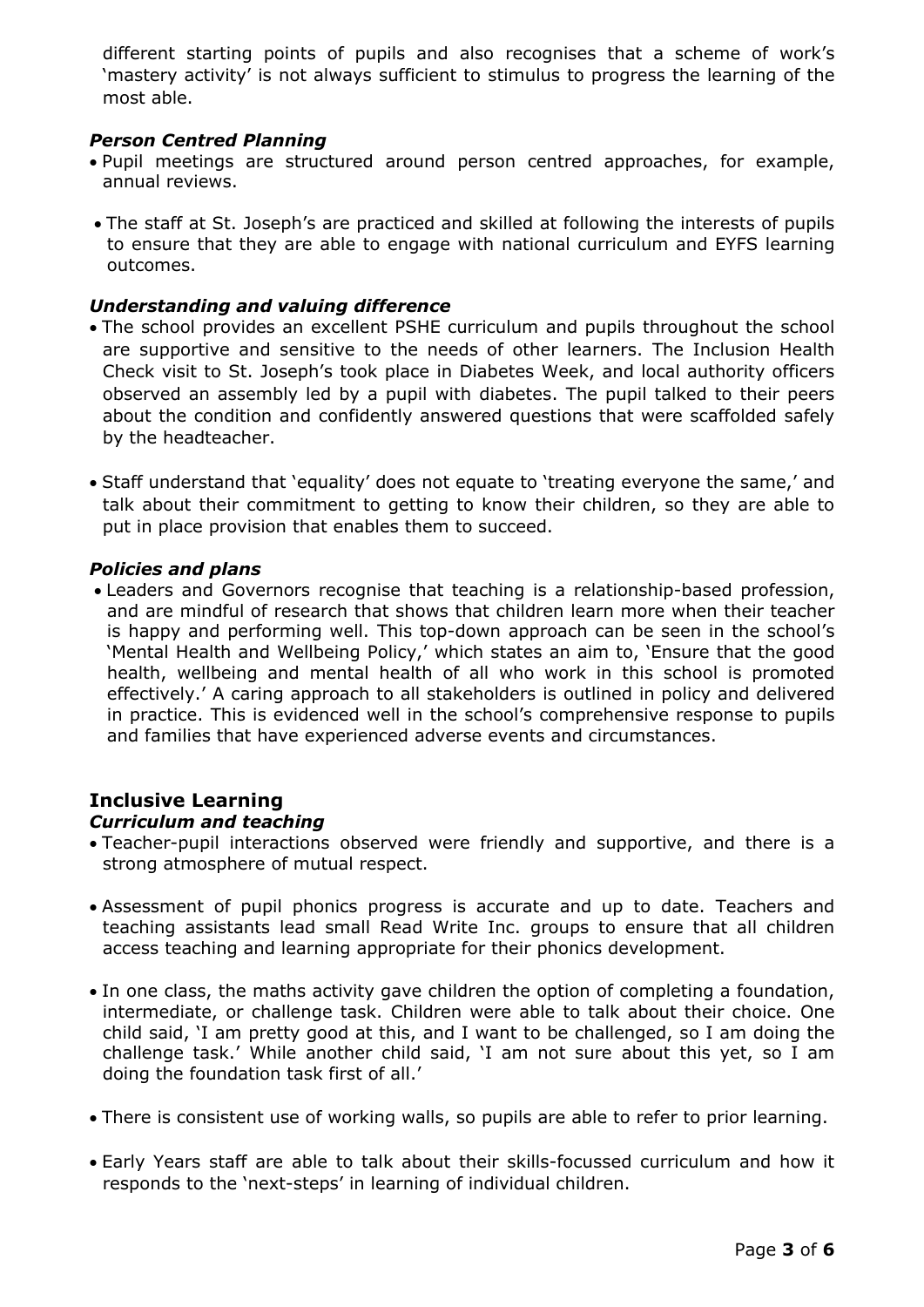different starting points of pupils and also recognises that a scheme of work's 'mastery activity' is not always sufficient to stimulus to progress the learning of the most able.

## *Person Centred Planning*

- Pupil meetings are structured around person centred approaches, for example, annual reviews.
- The staff at St. Joseph's are practiced and skilled at following the interests of pupils to ensure that they are able to engage with national curriculum and EYFS learning outcomes.

## *Understanding and valuing difference*

- The school provides an excellent PSHE curriculum and pupils throughout the school are supportive and sensitive to the needs of other learners. The Inclusion Health Check visit to St. Joseph's took place in Diabetes Week, and local authority officers observed an assembly led by a pupil with diabetes. The pupil talked to their peers about the condition and confidently answered questions that were scaffolded safely by the headteacher.
- Staff understand that 'equality' does not equate to 'treating everyone the same,' and talk about their commitment to getting to know their children, so they are able to put in place provision that enables them to succeed.

### *Policies and plans*

• Leaders and Governors recognise that teaching is a relationship-based profession, and are mindful of research that shows that children learn more when their teacher is happy and performing well. This top-down approach can be seen in the school's 'Mental Health and Wellbeing Policy,' which states an aim to, 'Ensure that the good health, wellbeing and mental health of all who work in this school is promoted effectively.' A caring approach to all stakeholders is outlined in policy and delivered in practice. This is evidenced well in the school's comprehensive response to pupils and families that have experienced adverse events and circumstances.

# **Inclusive Learning**

# *Curriculum and teaching*

- Teacher-pupil interactions observed were friendly and supportive, and there is a strong atmosphere of mutual respect.
- Assessment of pupil phonics progress is accurate and up to date. Teachers and teaching assistants lead small Read Write Inc. groups to ensure that all children access teaching and learning appropriate for their phonics development.
- In one class, the maths activity gave children the option of completing a foundation, intermediate, or challenge task. Children were able to talk about their choice. One child said, 'I am pretty good at this, and I want to be challenged, so I am doing the challenge task.' While another child said, 'I am not sure about this yet, so I am doing the foundation task first of all.'
- There is consistent use of working walls, so pupils are able to refer to prior learning.
- Early Years staff are able to talk about their skills-focussed curriculum and how it responds to the 'next-steps' in learning of individual children.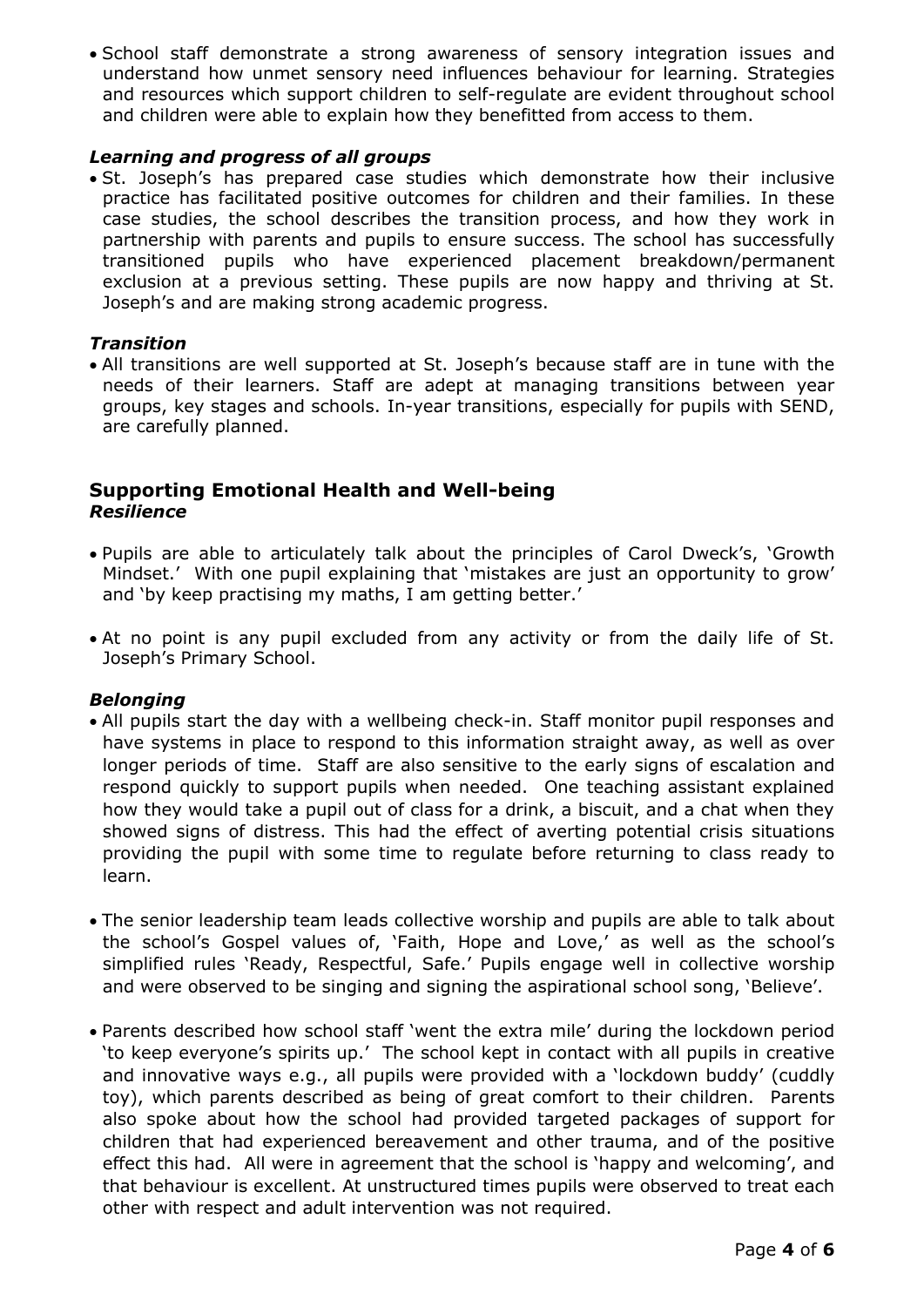• School staff demonstrate a strong awareness of sensory integration issues and understand how unmet sensory need influences behaviour for learning. Strategies and resources which support children to self-regulate are evident throughout school and children were able to explain how they benefitted from access to them.

## *Learning and progress of all groups*

• St. Joseph's has prepared case studies which demonstrate how their inclusive practice has facilitated positive outcomes for children and their families. In these case studies, the school describes the transition process, and how they work in partnership with parents and pupils to ensure success. The school has successfully transitioned pupils who have experienced placement breakdown/permanent exclusion at a previous setting. These pupils are now happy and thriving at St. Joseph's and are making strong academic progress.

# *Transition*

• All transitions are well supported at St. Joseph's because staff are in tune with the needs of their learners. Staff are adept at managing transitions between year groups, key stages and schools. In-year transitions, especially for pupils with SEND, are carefully planned.

## **Supporting Emotional Health and Well-being** *Resilience*

- Pupils are able to articulately talk about the principles of Carol Dweck's, 'Growth Mindset.' With one pupil explaining that 'mistakes are just an opportunity to grow' and 'by keep practising my maths, I am getting better.'
- At no point is any pupil excluded from any activity or from the daily life of St. Joseph's Primary School.

### *Belonging*

- All pupils start the day with a wellbeing check-in. Staff monitor pupil responses and have systems in place to respond to this information straight away, as well as over longer periods of time. Staff are also sensitive to the early signs of escalation and respond quickly to support pupils when needed. One teaching assistant explained how they would take a pupil out of class for a drink, a biscuit, and a chat when they showed signs of distress. This had the effect of averting potential crisis situations providing the pupil with some time to regulate before returning to class ready to learn.
- The senior leadership team leads collective worship and pupils are able to talk about the school's Gospel values of, 'Faith, Hope and Love,' as well as the school's simplified rules 'Ready, Respectful, Safe.' Pupils engage well in collective worship and were observed to be singing and signing the aspirational school song, 'Believe'.
- Parents described how school staff 'went the extra mile' during the lockdown period 'to keep everyone's spirits up.' The school kept in contact with all pupils in creative and innovative ways e.g., all pupils were provided with a 'lockdown buddy' (cuddly toy), which parents described as being of great comfort to their children. Parents also spoke about how the school had provided targeted packages of support for children that had experienced bereavement and other trauma, and of the positive effect this had. All were in agreement that the school is 'happy and welcoming', and that behaviour is excellent. At unstructured times pupils were observed to treat each other with respect and adult intervention was not required.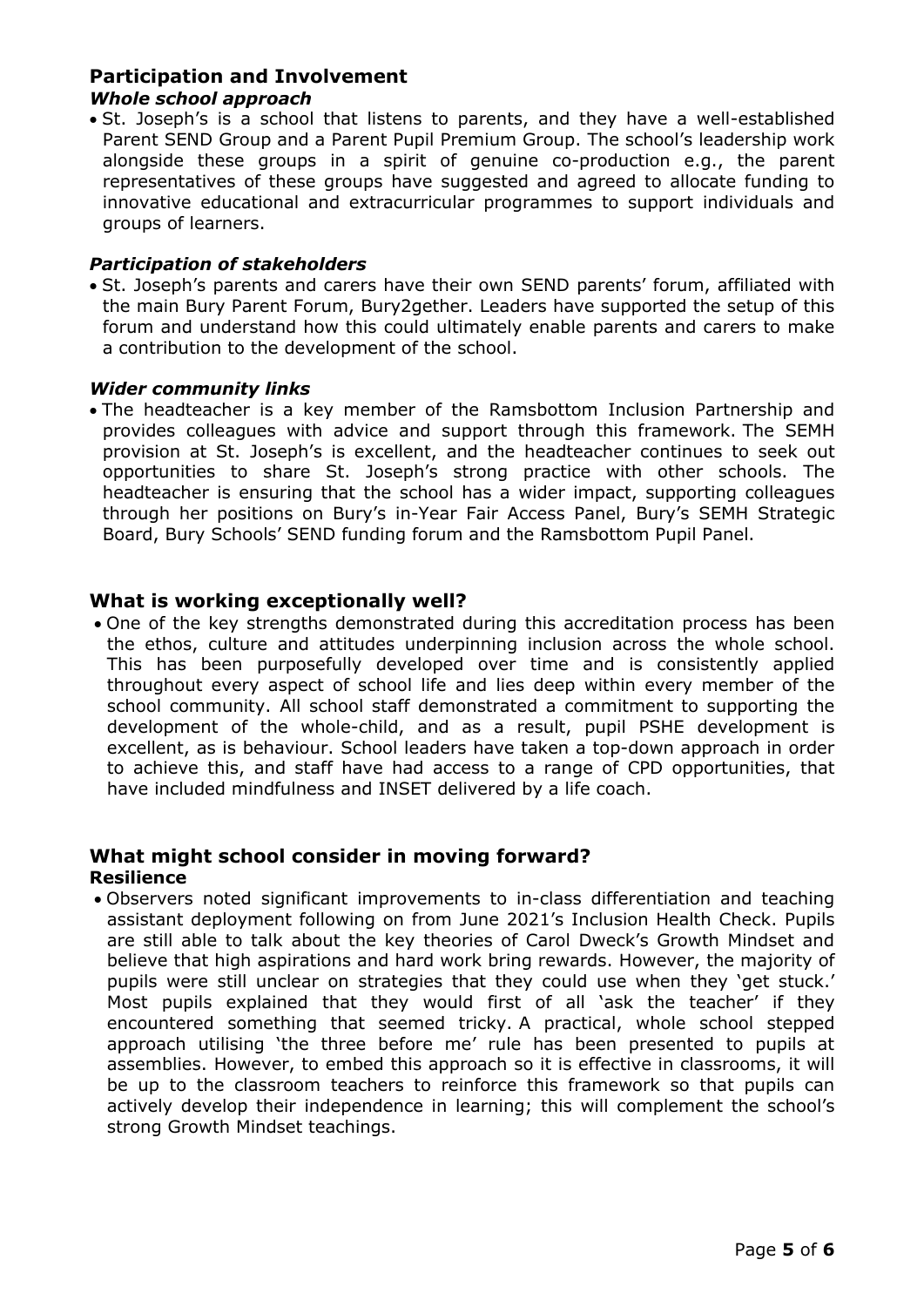# **Participation and Involvement**

## *Whole school approach*

• St. Joseph's is a school that listens to parents, and they have a well-established Parent SEND Group and a Parent Pupil Premium Group. The school's leadership work alongside these groups in a spirit of genuine co-production e.g., the parent representatives of these groups have suggested and agreed to allocate funding to innovative educational and extracurricular programmes to support individuals and groups of learners.

### *Participation of stakeholders*

• St. Joseph's parents and carers have their own SEND parents' forum, affiliated with the main Bury Parent Forum, Bury2gether. Leaders have supported the setup of this forum and understand how this could ultimately enable parents and carers to make a contribution to the development of the school.

### *Wider community links*

• The headteacher is a key member of the Ramsbottom Inclusion Partnership and provides colleagues with advice and support through this framework. The SEMH provision at St. Joseph's is excellent, and the headteacher continues to seek out opportunities to share St. Joseph's strong practice with other schools. The headteacher is ensuring that the school has a wider impact, supporting colleagues through her positions on Bury's in-Year Fair Access Panel, Bury's SEMH Strategic Board, Bury Schools' SEND funding forum and the Ramsbottom Pupil Panel.

# **What is working exceptionally well?**

• One of the key strengths demonstrated during this accreditation process has been the ethos, culture and attitudes underpinning inclusion across the whole school. This has been purposefully developed over time and is consistently applied throughout every aspect of school life and lies deep within every member of the school community. All school staff demonstrated a commitment to supporting the development of the whole-child, and as a result, pupil PSHE development is excellent, as is behaviour. School leaders have taken a top-down approach in order to achieve this, and staff have had access to a range of CPD opportunities, that have included mindfulness and INSET delivered by a life coach.

#### **What might school consider in moving forward? Resilience**

- 
- Observers noted significant improvements to in-class differentiation and teaching assistant deployment following on from June 2021's Inclusion Health Check. Pupils are still able to talk about the key theories of Carol Dweck's Growth Mindset and believe that high aspirations and hard work bring rewards. However, the majority of pupils were still unclear on strategies that they could use when they 'get stuck.' Most pupils explained that they would first of all 'ask the teacher' if they encountered something that seemed tricky. A practical, whole school stepped approach utilising 'the three before me' rule has been presented to pupils at assemblies. However, to embed this approach so it is effective in classrooms, it will be up to the classroom teachers to reinforce this framework so that pupils can actively develop their independence in learning; this will complement the school's strong Growth Mindset teachings.